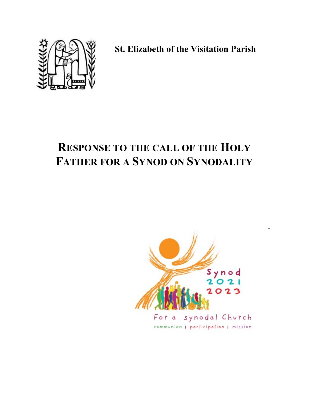

**St. Elizabeth of the Visitation Parish**

# **RESPONSE TO THE CALL OF THE HOLY FATHER FOR A SYNOD ON SYNODALITY**

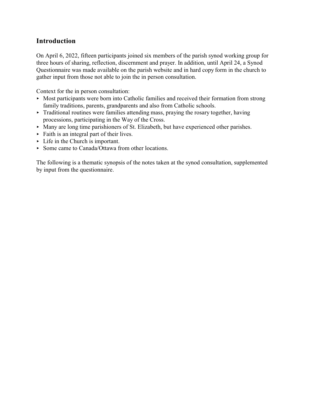## **Introduction**

On April 6, 2022, fifteen participants joined six members of the parish synod working group for three hours of sharing, reflection, discernment and prayer. In addition, until April 24, a Synod Questionnaire was made available on the parish website and in hard copy form in the church to gather input from those not able to join the in person consultation.

Context for the in person consultation:

- $\triangleright$  Most participants were born into Catholic families and received their formation from strong family traditions, parents, grandparents and also from Catholic schools.
- $\triangleright$  Traditional routines were families attending mass, praying the rosary together, having processions, participating in the Way of the Cross.
- $\blacktriangleright$  Many are long time parishioners of St. Elizabeth, but have experienced other parishes.
- $\triangleright$  Faith is an integral part of their lives.
- ► Life in the Church is important.
- Some came to Canada/Ottawa from other locations.

The following is a thematic synopsis of the notes taken at the synod consultation, supplemented by input from the questionnaire.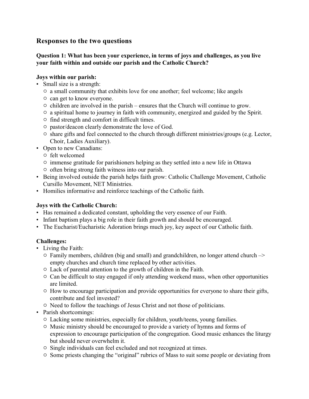### **Responses to the two questions**

#### **Question 1: What has been your experience, in terms of joys and challenges, as you live your faith within and outside our parish and the Catholic Church?**

#### **Joys within our parish:**

- Small size is a strength:
	- $\circ$  a small community that exhibits love for one another; feel welcome; like angels
	- $\circ$  can get to know everyone.
	- $\circ$  children are involved in the parish ensures that the Church will continue to grow.
	- $\circ$  a spiritual home to journey in faith with community, energized and guided by the Spirit.
	- $\circ$  find strength and comfort in difficult times.
	- $\circ$  pastor/deacon clearly demonstrate the love of God.
	- $\circ$  share gifts and feel connected to the church through different ministries/groups (e.g. Lector, Choir, Ladies Auxiliary).
- Open to new Canadians:
	- $\circ$  felt welcomed
	- $\circ$  immense gratitude for parishioners helping as they settled into a new life in Ottawa
	- $\circ$  often bring strong faith witness into our parish.
- Being involved outside the parish helps faith grow: Catholic Challenge Movement, Catholic Cursillo Movement, NET Ministries.
- Homilies informative and reinforce teachings of the Catholic faith.

#### **Joys with the Catholic Church:**

- Has remained a dedicated constant, upholding the very essence of our Faith.
- Infant baptism plays a big role in their faith growth and should be encouraged.
- The Eucharist/Eucharistic Adoration brings much joy, key aspect of our Catholic faith.

#### **Challenges:**

- Living the Faith:
	- $\circ$  Family members, children (big and small) and grandchildren, no longer attend church  $\rightarrow$ empty churches and church time replaced by other activities.
	- $\circ$  Lack of parental attention to the growth of children in the Faith.
	- $\circ$  Can be difficult to stay engaged if only attending weekend mass, when other opportunities are limited.
	- $\circ$  How to encourage participation and provide opportunities for everyone to share their gifts, contribute and feel invested?
	- $\circ$  Need to follow the teachings of Jesus Christ and not those of politicians.
- Parish shortcomings:
	- $\circ$  Lacking some ministries, especially for children, youth/teens, young families.
	- $\circ$  Music ministry should be encouraged to provide a variety of hymns and forms of expression to encourage participation of the congregation. Good music enhances the liturgy but should never overwhelm it.
	- $\circ$  Single individuals can feel excluded and not recognized at times.
	- $\circ$  Some priests changing the "original" rubrics of Mass to suit some people or deviating from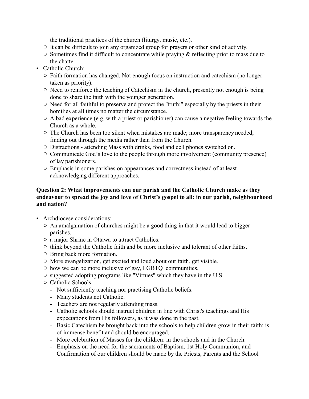the traditional practices of the church (liturgy, music, etc.).

- $\circ$  It can be difficult to join any organized group for prayers or other kind of activity.
- $\circ$  Sometimes find it difficult to concentrate while praying & reflecting prior to mass due to the chatter.
- Catholic Church:
	- $\circ$  Faith formation has changed. Not enough focus on instruction and catechism (no longer taken as priority).
	- $\circ$  Need to reinforce the teaching of Catechism in the church, presently not enough is being done to share the faith with the younger generation.
	- $\circ$  Need for all faithful to preserve and protect the "truth;" especially by the priests in their homilies at all times no matter the circumstance.
	- $\circ$  A bad experience (e.g. with a priest or parishioner) can cause a negative feeling towards the Church as a whole.
	- $\circ$  The Church has been too silent when mistakes are made; more transparency needed; finding out through the media rather than from the Church.
	- $\circ$  Distractions attending Mass with drinks, food and cell phones switched on.
	- $\circ$  Communicate God's love to the people through more involvement (community presence) of lay parishioners.
	- $\circ$  Emphasis in some parishes on appearances and correctness instead of at least acknowledging different approaches.

#### **Question 2: What improvements can our parish and the Catholic Church make as they endeavour to spread the joy and love of Christ's gospel to all: in our parish, neighbourhood and nation?**

- Archdiocese considerations:
	- $\circ$  An amalgamation of churches might be a good thing in that it would lead to bigger parishes.
	- $\circ$  a major Shrine in Ottawa to attract Catholics.
	- $\circ$  think beyond the Catholic faith and be more inclusive and tolerant of other faiths.
	- $\circ$  Bring back more formation.
	- $\circ$  More evangelization, get excited and loud about our faith, get visible.
	- $\circ$  how we can be more inclusive of gay, LGBTQ communities.
	- $\circ$  suggested adopting programs like "Virtues" which they have in the U.S.
	- $\circ$  Catholic Schools:
		- Not sufficiently teaching nor practising Catholic beliefs.
		- Many students not Catholic.
		- Teachers are not regularly attending mass.
		- Catholic schools should instruct children in line with Christ's teachings and His expectations from His followers, as it was done in the past.
		- Basic Catechism be brought back into the schools to help children grow in their faith; is of immense benefit and should be encouraged.
		- More celebration of Masses for the children: in the schools and in the Church.
		- Emphasis on the need for the sacraments of Baptism, 1st Holy Communion, and Confirmation of our children should be made by the Priests, Parents and the School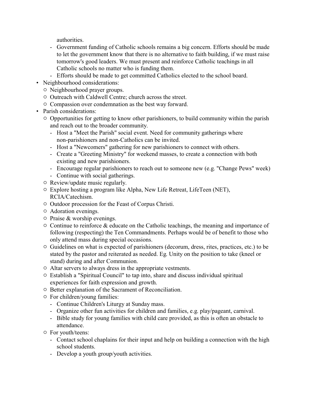authorities.

- Government funding of Catholic schools remains a big concern. Efforts should be made to let the government know that there is no alternative to faith building, if we must raise tomorrow's good leaders. We must present and reinforce Catholic teachings in all Catholic schools no matter who is funding them.
- Efforts should be made to get committed Catholics elected to the school board.
- Neighbourhood considerations:
	- $\circ$  Neighbourhood prayer groups.
	- $\circ$  Outreach with Caldwell Centre; church across the street.
	- $\circ$  Compassion over condemnation as the best way forward.
- Parish considerations:
	- $\circ$  Opportunities for getting to know other parishioners, to build community within the parish and reach out to the broader community.
		- Host a "Meet the Parish" social event. Need for community gatherings where non-parishioners and non-Catholics can be invited.
		- Host a "Newcomers" gathering for new parishioners to connect with others.
		- Create a "Greeting Ministry" for weekend masses, to create a connection with both existing and new parishioners.
		- Encourage regular parishioners to reach out to someone new (e.g. "Change Pews" week)
		- Continue with social gatherings.
	- $\circ$  Review/update music regularly.
	- $\circ$  Explore hosting a program like Alpha, New Life Retreat, LifeTeen (NET), RCIA/Catechism.
	- $\circ$  Outdoor procession for the Feast of Corpus Christi.
	- $\circ$  Adoration evenings.
	- $\circ$  Praise & worship evenings.
	- $\circ$  Continue to reinforce & educate on the Catholic teachings, the meaning and importance of following (respecting) the Ten Commandments. Perhaps would be of benefit to those who only attend mass during special occasions.
	- $\circ$  Guidelines on what is expected of parishioners (decorum, dress, rites, practices, etc.) to be stated by the pastor and reiterated as needed. Eg. Unity on the position to take (kneel or stand) during and after Communion.
	- $\circ$  Altar servers to always dress in the appropriate vestments.
	- $\circ$  Establish a "Spiritual Council" to tap into, share and discuss individual spiritual experiences for faith expression and growth.
	- $\circ$  Better explanation of the Sacrament of Reconciliation.
	- $\circ$  For children/young families:
		- Continue Children's Liturgy at Sunday mass.
		- Organize other fun activities for children and families, e.g. play/pageant, carnival.
		- Bible study for young families with child care provided, as this is often an obstacle to attendance.
	- $\circ$  For youth/teens:
		- Contact school chaplains for their input and help on building a connection with the high school students.
		- Develop a youth group/youth activities.